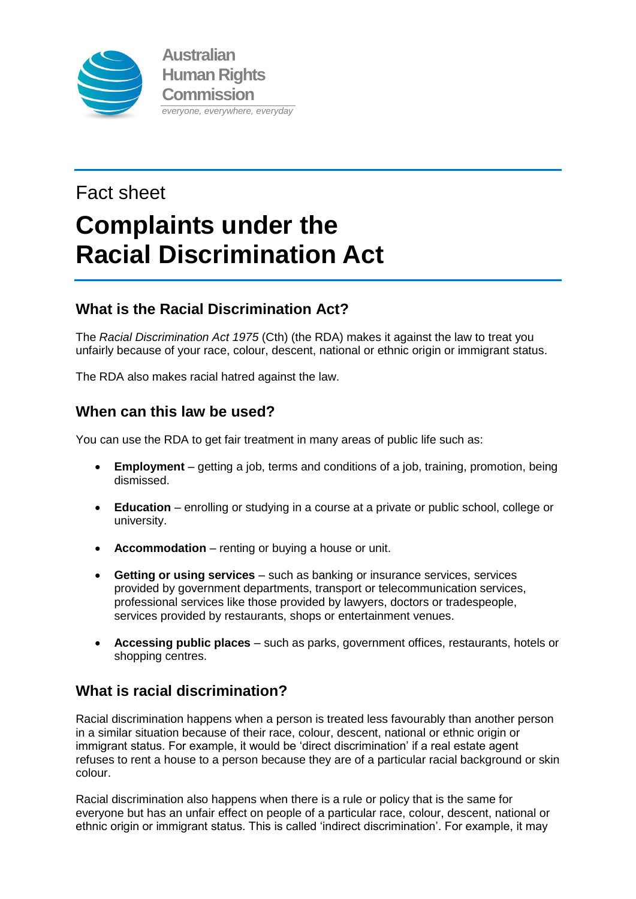

# Fact sheet **Complaints under the Racial Discrimination Act**

# **What is the Racial Discrimination Act?**

The *Racial Discrimination Act 1975* (Cth) (the RDA) makes it against the law to treat you unfairly because of your race, colour, descent, national or ethnic origin or immigrant status.

The RDA also makes racial hatred against the law.

# **When can this law be used?**

You can use the RDA to get fair treatment in many areas of public life such as:

- **Employment** getting a job, terms and conditions of a job, training, promotion, being dismissed.
- **Education** enrolling or studying in a course at a private or public school, college or university.
- **Accommodation** renting or buying a house or unit.
- **Getting or using services** such as banking or insurance services, services provided by government departments, transport or telecommunication services, professional services like those provided by lawyers, doctors or tradespeople, services provided by restaurants, shops or entertainment venues.
- **Accessing public places** such as parks, government offices, restaurants, hotels or shopping centres.

# **What is racial discrimination?**

Racial discrimination happens when a person is treated less favourably than another person in a similar situation because of their race, colour, descent, national or ethnic origin or immigrant status. For example, it would be 'direct discrimination' if a real estate agent refuses to rent a house to a person because they are of a particular racial background or skin colour.

Racial discrimination also happens when there is a rule or policy that is the same for everyone but has an unfair effect on people of a particular race, colour, descent, national or ethnic origin or immigrant status. This is called 'indirect discrimination'. For example, it may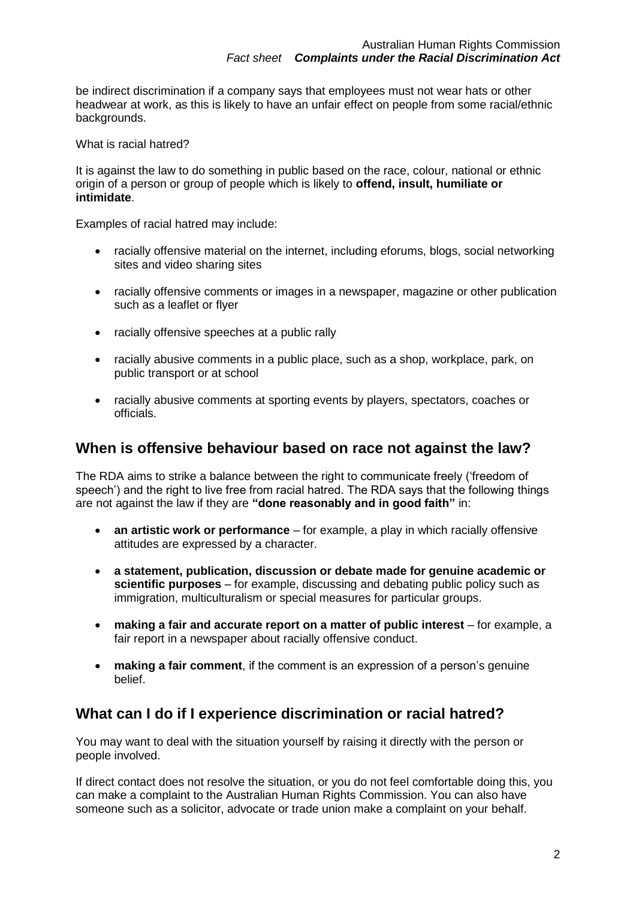be indirect discrimination if a company says that employees must not wear hats or other headwear at work, as this is likely to have an unfair effect on people from some racial/ethnic backgrounds.

#### What is racial hatred?

It is against the law to do something in public based on the race, colour, national or ethnic origin of a person or group of people which is likely to **offend, insult, humiliate or intimidate**.

Examples of racial hatred may include:

- racially offensive material on the internet, including eforums, blogs, social networking sites and video sharing sites
- racially offensive comments or images in a newspaper, magazine or other publication such as a leaflet or flyer
- racially offensive speeches at a public rally
- racially abusive comments in a public place, such as a shop, workplace, park, on public transport or at school
- racially abusive comments at sporting events by players, spectators, coaches or officials.

## **When is offensive behaviour based on race not against the law?**

The RDA aims to strike a balance between the right to communicate freely ('freedom of speech') and the right to live free from racial hatred. The RDA says that the following things are not against the law if they are **"done reasonably and in good faith"** in:

- **an artistic work or performance** for example, a play in which racially offensive attitudes are expressed by a character.
- **a statement, publication, discussion or debate made for genuine academic or scientific purposes** – for example, discussing and debating public policy such as immigration, multiculturalism or special measures for particular groups.
- **making a fair and accurate report on a matter of public interest** for example, a fair report in a newspaper about racially offensive conduct.
- **making a fair comment**, if the comment is an expression of a person's genuine belief.

## **What can I do if I experience discrimination or racial hatred?**

You may want to deal with the situation yourself by raising it directly with the person or people involved.

If direct contact does not resolve the situation, or you do not feel comfortable doing this, you can make a complaint to the Australian Human Rights Commission. You can also have someone such as a solicitor, advocate or trade union make a complaint on your behalf.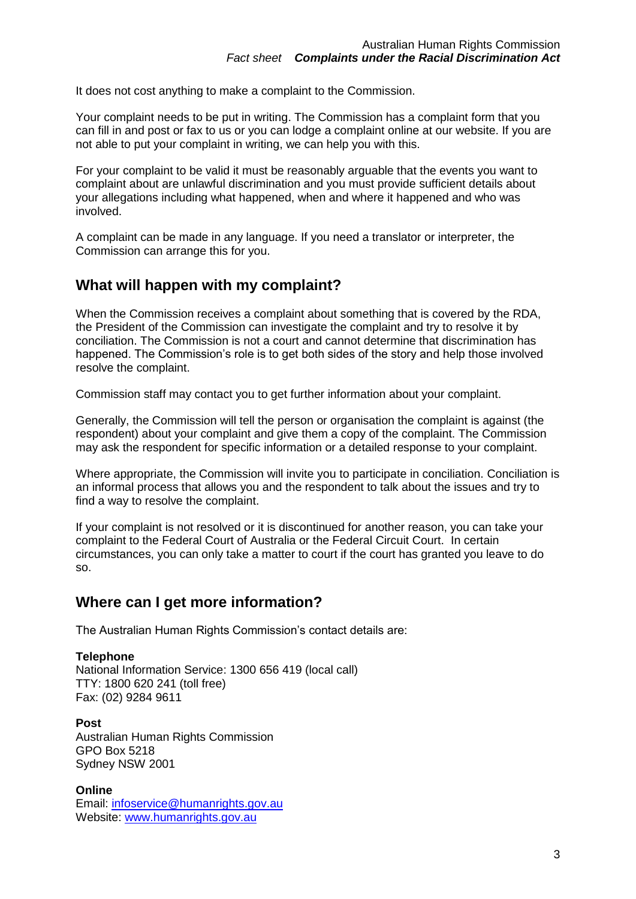It does not cost anything to make a complaint to the Commission.

Your complaint needs to be put in writing. The Commission has a complaint form that you can fill in and post or fax to us or you can lodge a complaint online at our website. If you are not able to put your complaint in writing, we can help you with this.

For your complaint to be valid it must be reasonably arguable that the events you want to complaint about are unlawful discrimination and you must provide sufficient details about your allegations including what happened, when and where it happened and who was involved.

A complaint can be made in any language. If you need a translator or interpreter, the Commission can arrange this for you.

## **What will happen with my complaint?**

When the Commission receives a complaint about something that is covered by the RDA, the President of the Commission can investigate the complaint and try to resolve it by conciliation. The Commission is not a court and cannot determine that discrimination has happened. The Commission's role is to get both sides of the story and help those involved resolve the complaint.

Commission staff may contact you to get further information about your complaint.

Generally, the Commission will tell the person or organisation the complaint is against (the respondent) about your complaint and give them a copy of the complaint. The Commission may ask the respondent for specific information or a detailed response to your complaint.

Where appropriate, the Commission will invite you to participate in conciliation. Conciliation is an informal process that allows you and the respondent to talk about the issues and try to find a way to resolve the complaint.

If your complaint is not resolved or it is discontinued for another reason, you can take your complaint to the Federal Court of Australia or the Federal Circuit Court. In certain circumstances, you can only take a matter to court if the court has granted you leave to do so.

## **Where can I get more information?**

The Australian Human Rights Commission's contact details are:

#### **Telephone**

National Information Service: 1300 656 419 (local call) TTY: 1800 620 241 (toll free) Fax: (02) 9284 9611

**Post** Australian Human Rights Commission GPO Box 5218 Sydney NSW 2001

**Online** Email: [infoservice@humanrights.gov.au](mailto:infoservice@humanrights.gov.au) Website: [www.humanrights.gov.au](http://www.humanrights.gov.au/)